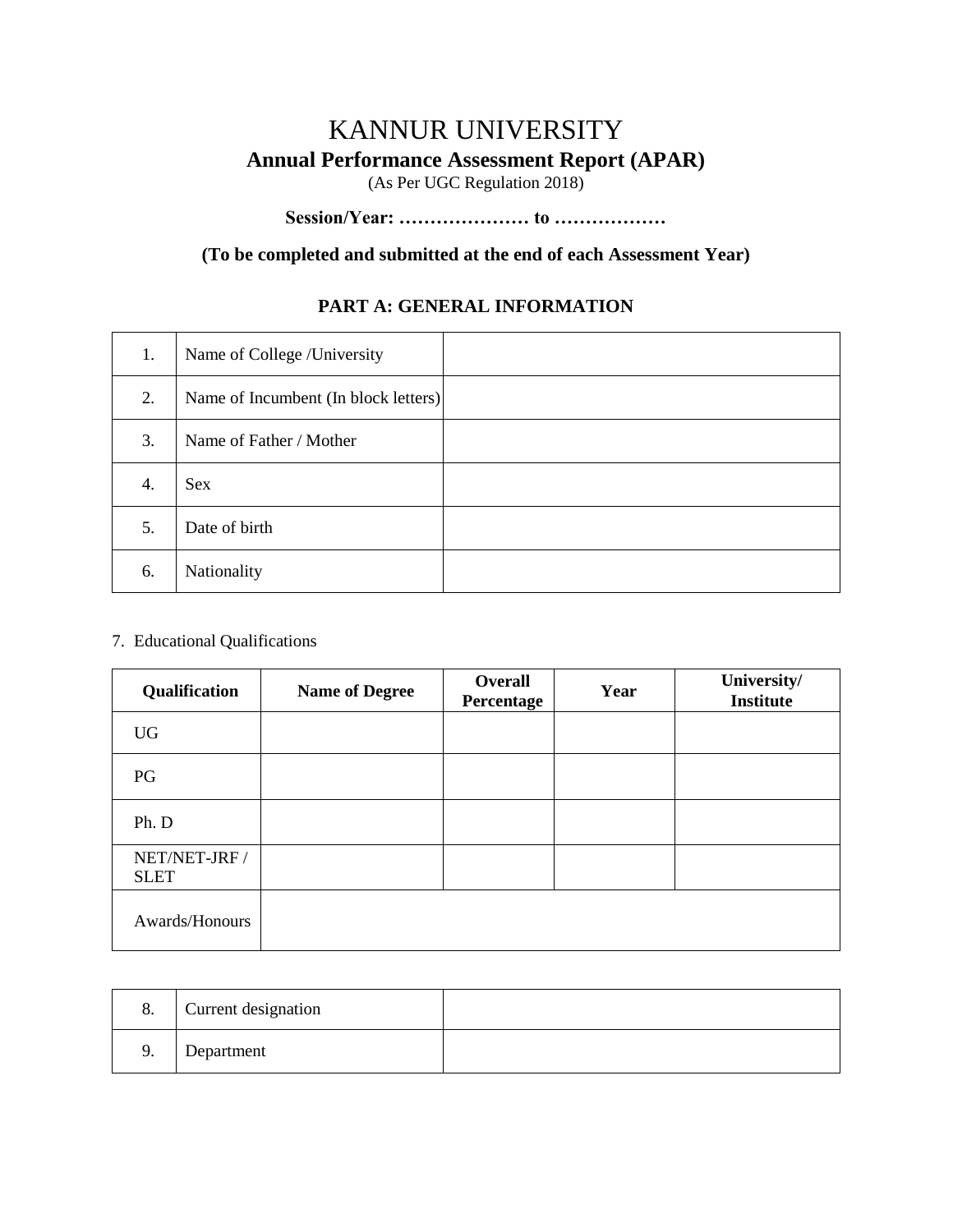# KANNUR UNIVERSITY **Annual Performance Assessment Report (APAR)** (As Per UGC Regulation 2018)

# **Session/Year: ………………… to ………………**

### **(To be completed and submitted at the end of each Assessment Year)**

### **PART A: GENERAL INFORMATION**

| 1. | Name of College /University          |  |
|----|--------------------------------------|--|
| 2. | Name of Incumbent (In block letters) |  |
| 3. | Name of Father / Mother              |  |
| 4. | <b>Sex</b>                           |  |
| 5. | Date of birth                        |  |
| 6. | Nationality                          |  |

#### 7. Educational Qualifications

| Qualification                | <b>Name of Degree</b> | Overall<br>Percentage | Year | University/<br><b>Institute</b> |
|------------------------------|-----------------------|-----------------------|------|---------------------------------|
| <b>UG</b>                    |                       |                       |      |                                 |
| PG                           |                       |                       |      |                                 |
| Ph. D                        |                       |                       |      |                                 |
| NET/NET-JRF /<br><b>SLET</b> |                       |                       |      |                                 |
| Awards/Honours               |                       |                       |      |                                 |

| 8. | Current designation |  |
|----|---------------------|--|
| 9. | Department          |  |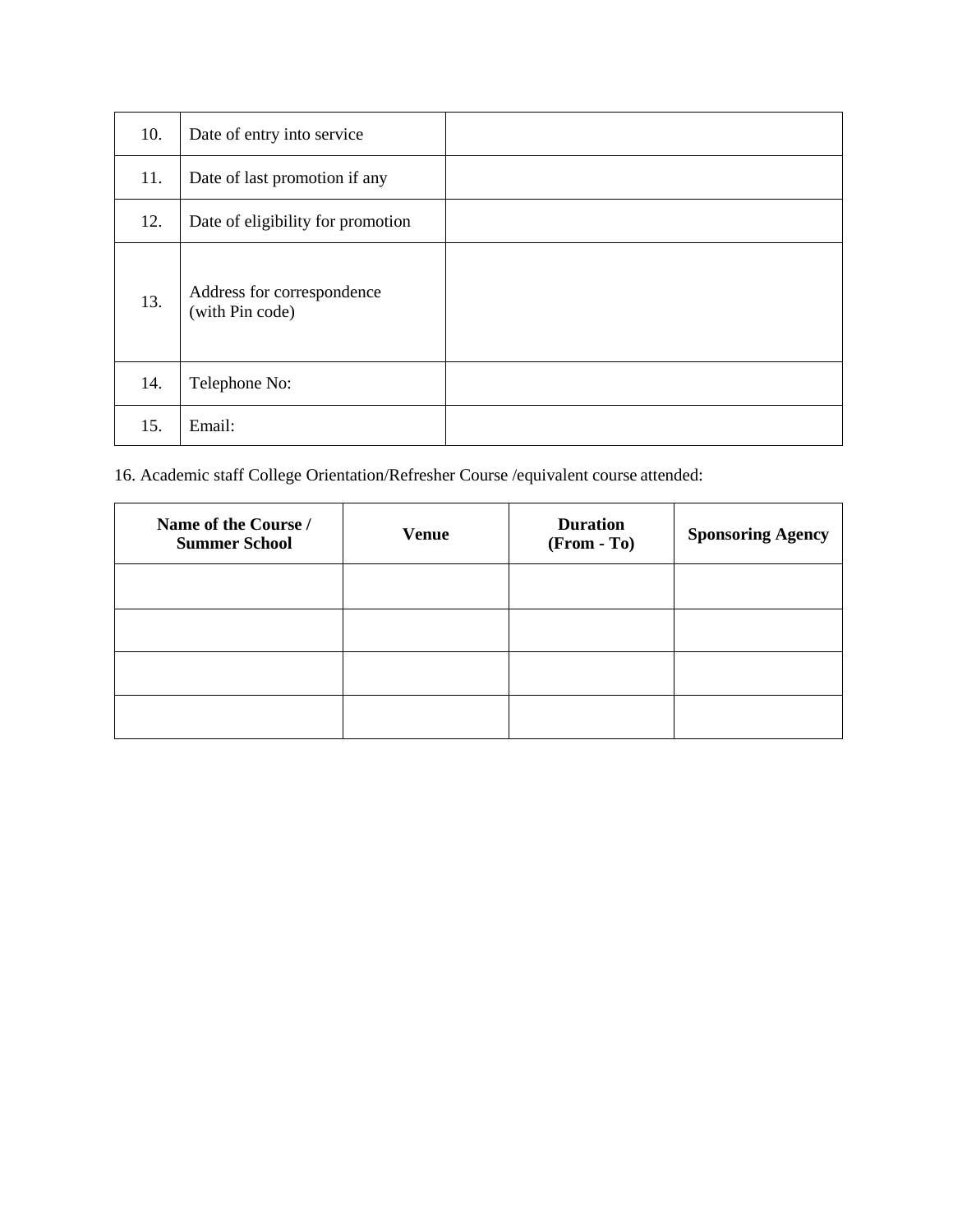| 10. | Date of entry into service                    |  |
|-----|-----------------------------------------------|--|
| 11. | Date of last promotion if any                 |  |
| 12. | Date of eligibility for promotion             |  |
| 13. | Address for correspondence<br>(with Pin code) |  |
| 14. | Telephone No:                                 |  |
| 15. | Email:                                        |  |

16. Academic staff College Orientation/Refresher Course /equivalent course attended:

| Name of the Course /<br><b>Summer School</b> | <b>Venue</b> | <b>Duration</b><br>(From - To) | <b>Sponsoring Agency</b> |
|----------------------------------------------|--------------|--------------------------------|--------------------------|
|                                              |              |                                |                          |
|                                              |              |                                |                          |
|                                              |              |                                |                          |
|                                              |              |                                |                          |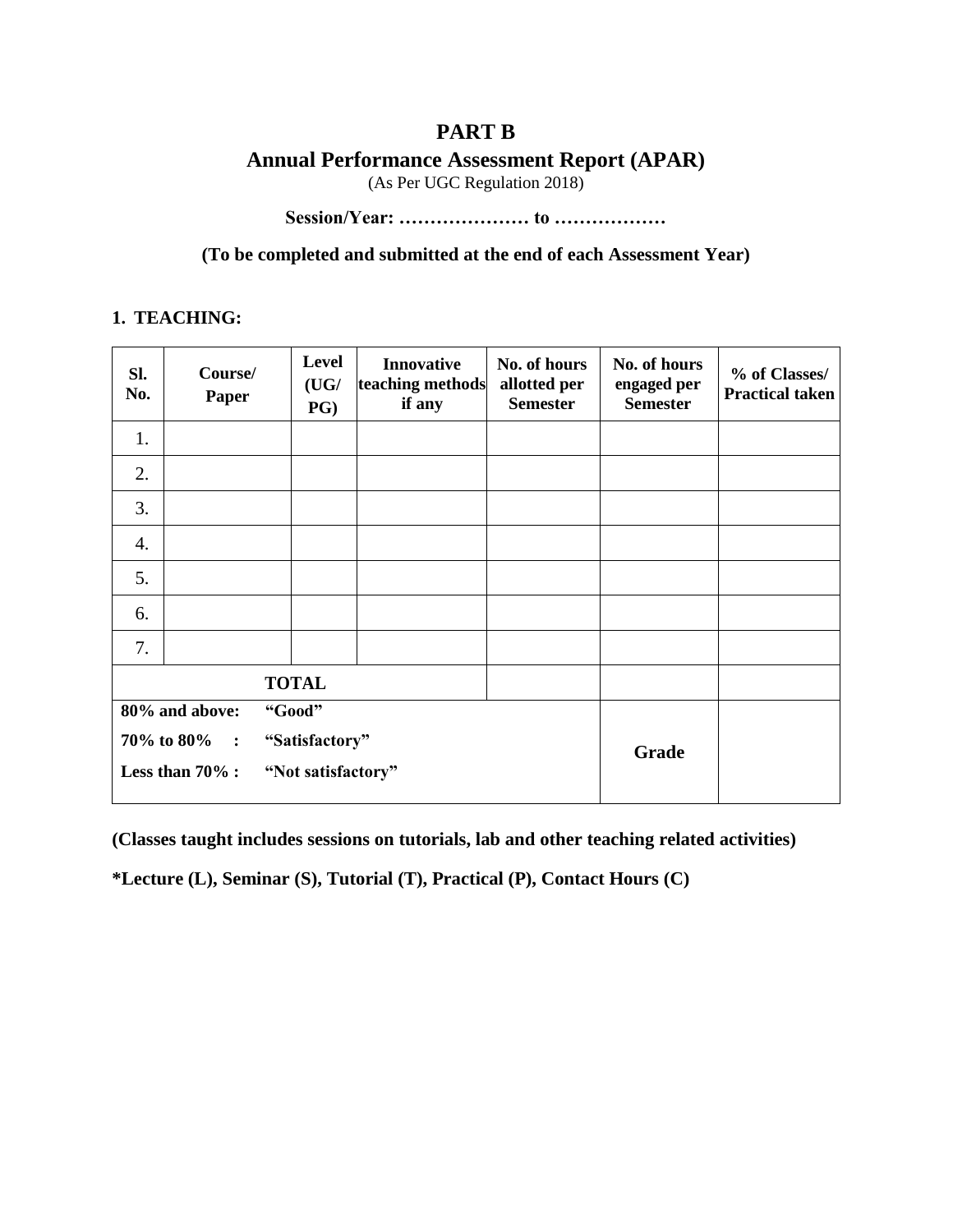## **PART B**

**Annual Performance Assessment Report (APAR)**

(As Per UGC Regulation 2018)

**Session/Year: ………………… to ………………**

**(To be completed and submitted at the end of each Assessment Year)**

### **1. TEACHING:**

| SI.<br>No.                                           | Course/<br><b>Paper</b>                  | Level<br>(UG/<br>$PG$ ) | <b>Innovative</b><br>teaching methods<br>if any | No. of hours<br>allotted per<br><b>Semester</b> | No. of hours<br>engaged per<br><b>Semester</b> | % of Classes/<br><b>Practical taken</b> |
|------------------------------------------------------|------------------------------------------|-------------------------|-------------------------------------------------|-------------------------------------------------|------------------------------------------------|-----------------------------------------|
| 1.                                                   |                                          |                         |                                                 |                                                 |                                                |                                         |
| 2.                                                   |                                          |                         |                                                 |                                                 |                                                |                                         |
| 3.                                                   |                                          |                         |                                                 |                                                 |                                                |                                         |
| 4.                                                   |                                          |                         |                                                 |                                                 |                                                |                                         |
| 5.                                                   |                                          |                         |                                                 |                                                 |                                                |                                         |
| 6.                                                   |                                          |                         |                                                 |                                                 |                                                |                                         |
| 7.                                                   |                                          |                         |                                                 |                                                 |                                                |                                         |
|                                                      |                                          | <b>TOTAL</b>            |                                                 |                                                 |                                                |                                         |
| "Good"<br>80% and above:                             |                                          |                         |                                                 |                                                 |                                                |                                         |
| 70% to 80%<br>"Satisfactory"<br>$\ddot{\phantom{1}}$ |                                          |                         |                                                 | Grade                                           |                                                |                                         |
|                                                      | Less than $70\%$ :<br>"Not satisfactory" |                         |                                                 |                                                 |                                                |                                         |

**(Classes taught includes sessions on tutorials, lab and other teaching related activities)**

**\*Lecture (L), Seminar (S), Tutorial (T), Practical (P), Contact Hours (C)**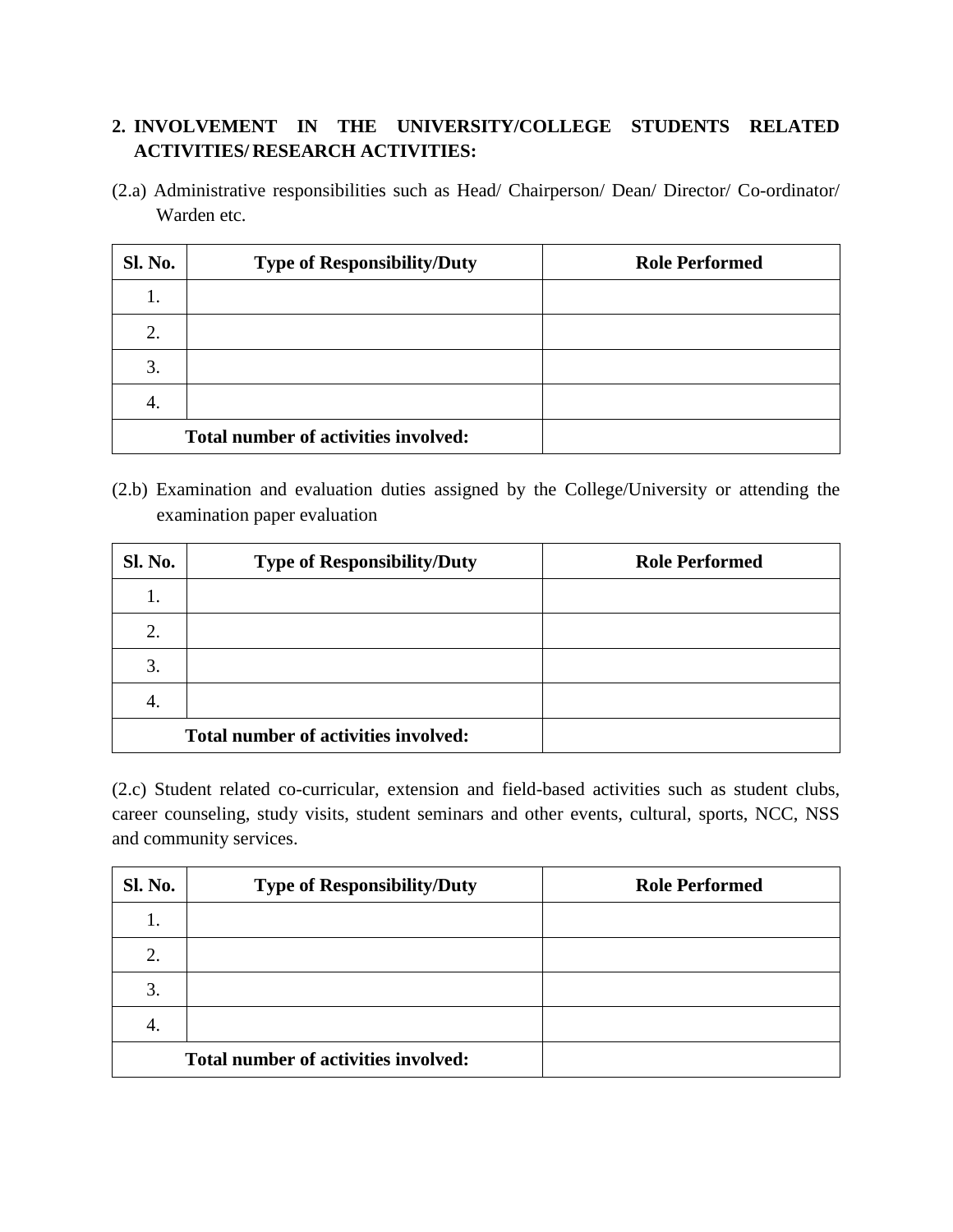## **2. INVOLVEMENT IN THE UNIVERSITY/COLLEGE STUDENTS RELATED ACTIVITIES/ RESEARCH ACTIVITIES:**

(2.a) Administrative responsibilities such as Head/ Chairperson/ Dean/ Director/ Co-ordinator/ Warden etc.

| <b>Sl. No.</b> | <b>Type of Responsibility/Duty</b>   | <b>Role Performed</b> |
|----------------|--------------------------------------|-----------------------|
| ı.             |                                      |                       |
| 2.             |                                      |                       |
| 3.             |                                      |                       |
| 4.             |                                      |                       |
|                | Total number of activities involved: |                       |

(2.b) Examination and evaluation duties assigned by the College/University or attending the examination paper evaluation

| <b>Sl. No.</b>                       | <b>Type of Responsibility/Duty</b> | <b>Role Performed</b> |
|--------------------------------------|------------------------------------|-----------------------|
| Ī.                                   |                                    |                       |
| 2.                                   |                                    |                       |
| 3.                                   |                                    |                       |
| 4.                                   |                                    |                       |
| Total number of activities involved: |                                    |                       |

(2.c) Student related co-curricular, extension and field-based activities such as student clubs, career counseling, study visits, student seminars and other events, cultural, sports, NCC, NSS and community services.

| <b>Sl. No.</b> | <b>Type of Responsibility/Duty</b>   | <b>Role Performed</b> |
|----------------|--------------------------------------|-----------------------|
| ī.             |                                      |                       |
| 2.             |                                      |                       |
| 3.             |                                      |                       |
| 4.             |                                      |                       |
|                | Total number of activities involved: |                       |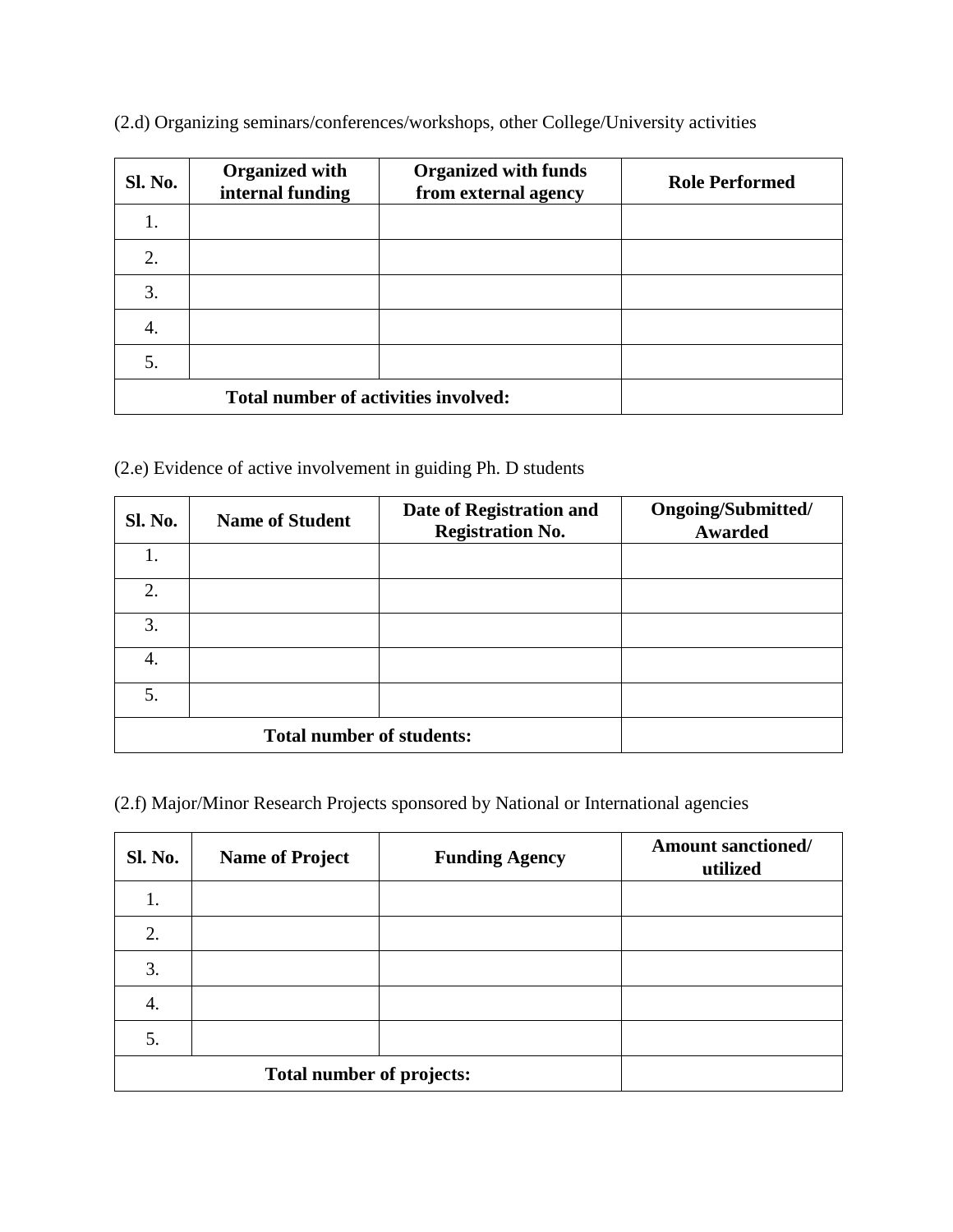(2.d) Organizing seminars/conferences/workshops, other College/University activities

| <b>Sl. No.</b> | <b>Organized with</b><br>internal funding | <b>Organized with funds</b><br>from external agency | <b>Role Performed</b> |
|----------------|-------------------------------------------|-----------------------------------------------------|-----------------------|
| 1.             |                                           |                                                     |                       |
| 2.             |                                           |                                                     |                       |
| 3.             |                                           |                                                     |                       |
| 4.             |                                           |                                                     |                       |
| 5.             |                                           |                                                     |                       |
|                | Total number of activities involved:      |                                                     |                       |

(2.e) Evidence of active involvement in guiding Ph. D students

| <b>Sl. No.</b> | <b>Name of Student</b>           | Date of Registration and<br><b>Registration No.</b> | Ongoing/Submitted/<br><b>Awarded</b> |
|----------------|----------------------------------|-----------------------------------------------------|--------------------------------------|
| 1.             |                                  |                                                     |                                      |
| 2.             |                                  |                                                     |                                      |
| 3.             |                                  |                                                     |                                      |
| 4.             |                                  |                                                     |                                      |
| 5.             |                                  |                                                     |                                      |
|                | <b>Total number of students:</b> |                                                     |                                      |

(2.f) Major/Minor Research Projects sponsored by National or International agencies

| Sl. No. | <b>Name of Project</b>    | <b>Funding Agency</b> | <b>Amount sanctioned/</b><br>utilized |
|---------|---------------------------|-----------------------|---------------------------------------|
| 1.      |                           |                       |                                       |
| 2.      |                           |                       |                                       |
| 3.      |                           |                       |                                       |
| 4.      |                           |                       |                                       |
| 5.      |                           |                       |                                       |
|         | Total number of projects: |                       |                                       |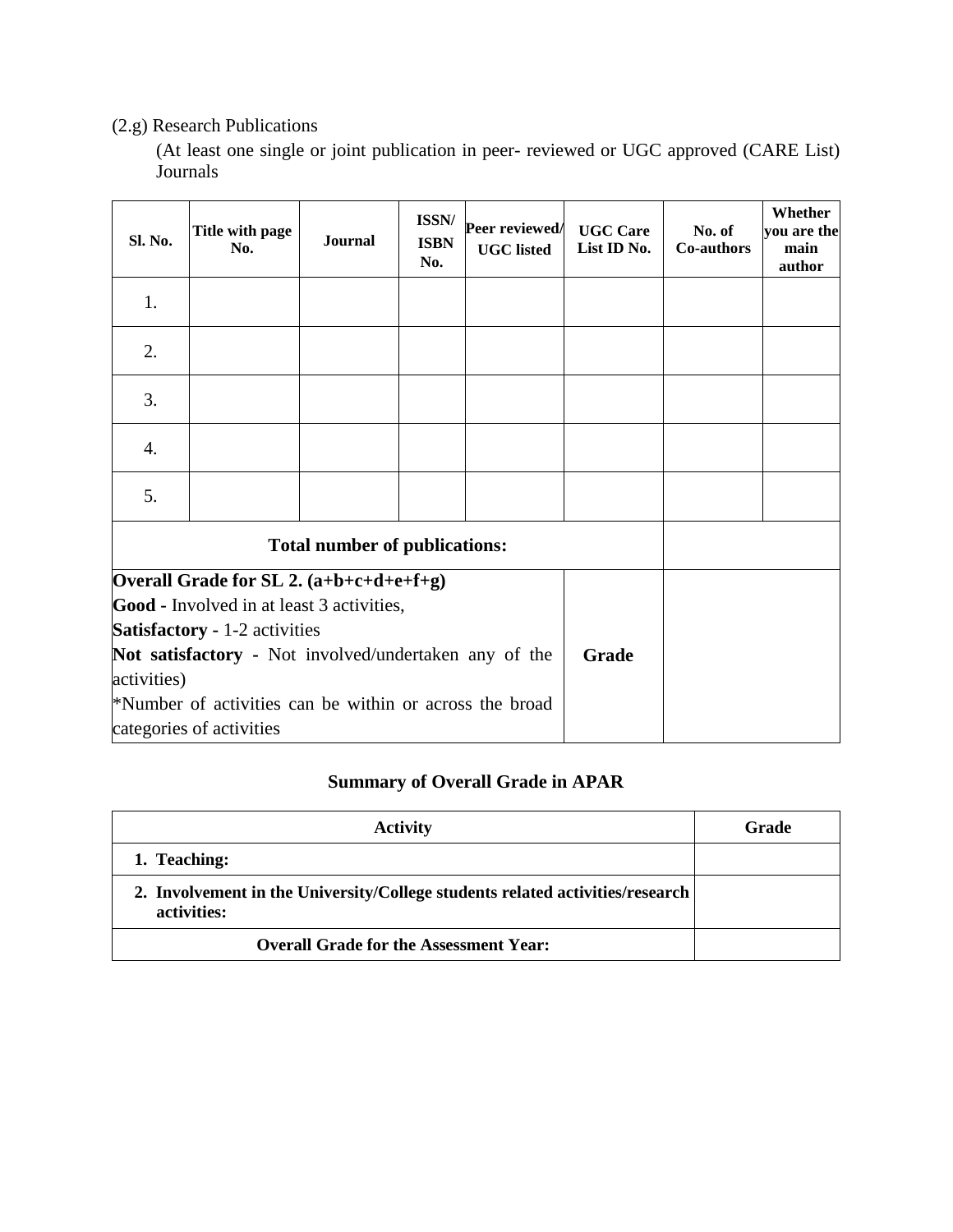### (2.g) Research Publications

(At least one single or joint publication in peer- reviewed or UGC approved (CARE List) Journals

| Sl. No.                                                                                                                                                                                                                                                                                              | Title with page<br>No.               | <b>Journal</b> | ISSN/<br><b>ISBN</b><br>No. | Peer reviewed/<br><b>UGC</b> listed | <b>UGC Care</b><br>List ID No. | No. of<br>Co-authors | Whether<br>you are the<br>main<br>author |
|------------------------------------------------------------------------------------------------------------------------------------------------------------------------------------------------------------------------------------------------------------------------------------------------------|--------------------------------------|----------------|-----------------------------|-------------------------------------|--------------------------------|----------------------|------------------------------------------|
| 1.                                                                                                                                                                                                                                                                                                   |                                      |                |                             |                                     |                                |                      |                                          |
| 2.                                                                                                                                                                                                                                                                                                   |                                      |                |                             |                                     |                                |                      |                                          |
| 3.                                                                                                                                                                                                                                                                                                   |                                      |                |                             |                                     |                                |                      |                                          |
| 4.                                                                                                                                                                                                                                                                                                   |                                      |                |                             |                                     |                                |                      |                                          |
| 5.                                                                                                                                                                                                                                                                                                   |                                      |                |                             |                                     |                                |                      |                                          |
|                                                                                                                                                                                                                                                                                                      | <b>Total number of publications:</b> |                |                             |                                     |                                |                      |                                          |
| Overall Grade for SL 2. $(a+b+c+d+e+f+g)$<br><b>Good</b> - Involved in at least 3 activities,<br><b>Satisfactory - 1-2 activities</b><br>Not satisfactory - Not involved/undertaken any of the<br>activities)<br>*Number of activities can be within or across the broad<br>categories of activities |                                      |                |                             |                                     | Grade                          |                      |                                          |

## **Summary of Overall Grade in APAR**

| <b>Activity</b>                                                                              | Grade |
|----------------------------------------------------------------------------------------------|-------|
| 1. Teaching:                                                                                 |       |
| 2. Involvement in the University/College students related activities/research<br>activities: |       |
| <b>Overall Grade for the Assessment Year:</b>                                                |       |